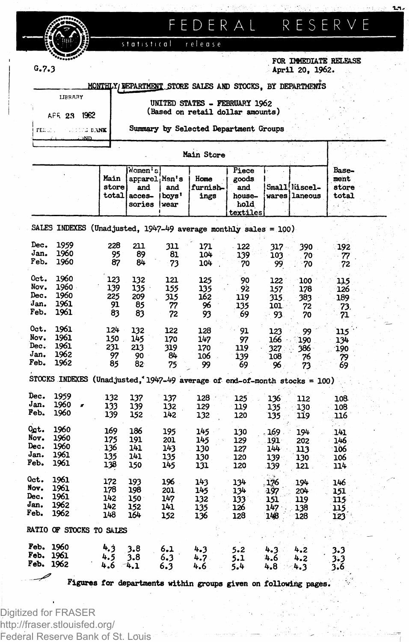# **FEDERA L**

**FOR IMMEDIATE RELEASE G.7.3 April 20, 1962.**

|                                | MONTHLY/DEPARTMENT STORE SALES AND STOCKS. BY DEPARTMENTS         |
|--------------------------------|-------------------------------------------------------------------|
| <b>LIBRARY</b><br>APR 2.9 1962 | UNITED STATES - FEBRUARY 1962<br>(Based on retail dollar amounts) |
| ment a control bank I          | Summary by Selected Department Groups                             |

statistical

| UNITED STATES - FEBRUARY 1962    |  |  |
|----------------------------------|--|--|
| (Based on retail dollar amounts) |  |  |

release

ä.

|      |                                                                 |                        | Main Store                                           |                       |                          |                                                     |      |                                |                                 |  |
|------|-----------------------------------------------------------------|------------------------|------------------------------------------------------|-----------------------|--------------------------|-----------------------------------------------------|------|--------------------------------|---------------------------------|--|
|      |                                                                 | Main<br>store<br>total | Nomen's'<br>aprarel Men's<br>and<br>acces-<br>sories | and<br>boys'<br>lwear | Home<br>furnish-<br>ings | Piece<br>goods<br>and<br>house-<br>hold<br>textiles |      | Small Miscel-<br>wares laneous | Base-<br>ment<br>store<br>total |  |
|      | SALES INDEXES (Unadjusted, 1947-49 average monthly sales = 100) |                        |                                                      |                       |                          |                                                     |      |                                |                                 |  |
| Dec. | 1959                                                            | つつR                    | 211                                                  | วาา                   | רלי ר                    | כפו                                                 | 27.7 | 200                            | ിറാ                             |  |

| Dec. | 1959                         |   | 228 | 211   | 311 | 171  | 122                                                                       | $317 -$ | 390 | 192 |
|------|------------------------------|---|-----|-------|-----|------|---------------------------------------------------------------------------|---------|-----|-----|
| Jan. | 1960                         |   | 95  | 89    | 81  | 104  | 139                                                                       | 103     | 70  | 77  |
| Feb. | 1960                         |   | 87  | $84-$ | 73  | 104  | 70                                                                        | 99      | 70  | 72  |
|      |                              |   |     |       |     |      |                                                                           |         |     |     |
| Oct. | 1960                         |   | 123 | 132   | 121 | 125  | 90                                                                        | 122     | 100 | 115 |
| Nov. | 1960 -                       |   | 139 | 135   | 155 | 135  | 92                                                                        | 157     | 178 | 126 |
| Dec. | 1960                         |   | 225 | 209   | 315 | 162  | 119                                                                       | 315.    | 383 | 189 |
| Jan. | 1961                         |   | 91  | 85    | 77  | 96   | 135                                                                       | 101.    | 72  | 73. |
| Feb. | 1961                         |   | 83  | 83    | 72  | 93   | 69                                                                        | 93      | 70  | 71  |
|      |                              |   |     |       |     |      |                                                                           |         |     |     |
| Oct. | 1961                         |   | 124 | 132   | 122 | 128  | 91                                                                        | 123     | 99  | 115 |
| Nov. | 1961                         |   | 150 | 145   | 170 | 147  | 97                                                                        | 166     | 190 | 134 |
| Dec. | 1961                         |   | 231 | 213   | 319 | 170  | 119                                                                       | 327     | 386 | 190 |
| Jan. | 1962                         |   | 97  | 90    | 84  | 106  | 139                                                                       | 108     | 76  | 79  |
| Feb. | 1962                         |   | 85  | 82    | 75  | 99   | 69                                                                        | 96      | 73  | 69  |
|      |                              |   |     |       |     |      |                                                                           |         |     |     |
|      |                              |   |     |       |     |      | STOCKS INDEXES (Unadjusted, 1947-49 average of end-of-month stocks = 100) |         |     |     |
| Dec. | 1959                         |   | 132 | 137   | 137 | 128  | 125                                                                       | 136     | 112 | 108 |
| Jan. | 1960                         | s | 133 | 139   | 132 | 129  | 119                                                                       | 135     | 130 | 108 |
| Feb. | 1960                         |   | 139 | 152   | 142 | 132  | 120                                                                       | 135     | 119 | 116 |
|      |                              |   |     |       |     |      |                                                                           |         |     |     |
| Ogt. | 1960                         |   | 169 | 186   | 195 | 145  | 130                                                                       | 169     | 194 | 141 |
| Nov. | 1960                         |   | 175 | 191   | 201 | 145  | 129                                                                       | 191     | 202 | 146 |
| Dec. | 1960                         |   | 136 | 141   | 143 | 130  | 127                                                                       | 144     | 113 | 106 |
| Jan. | 1961                         |   | 135 | 141   | 135 | 130  | 120                                                                       | 139     | 130 | 106 |
| Feb. | 1961                         |   | 138 | 150   | 145 | 131  | 120                                                                       | 139     | 121 | 114 |
|      |                              |   |     |       |     |      |                                                                           |         |     |     |
| Oct. | 1961                         |   | 172 | 193   | 196 | 143  | 134                                                                       | .176    | 194 | 146 |
| Nov. | 1961                         |   | 178 | 198   | 201 | 145  | 134                                                                       | -197    | 204 | 151 |
| Dec. | 1961                         |   | 142 | 150   | 147 | 132  | 133                                                                       | 151     | 119 | 115 |
| Jan. | 1962                         |   | 142 | 152   | 141 | 135  | 126                                                                       | 147     | 138 | 115 |
| Feb. | 1962                         |   | 148 | 164   | 152 | 136  | 128                                                                       | 148     | 128 | 123 |
|      | RATIO OF STOCKS TO SALES     |   |     |       |     |      |                                                                           |         |     |     |
| Feb. | 1960                         |   |     |       |     |      |                                                                           |         |     |     |
| Feb. | 1961                         |   | 4.3 | 3.8   | 6.1 | 4.3  | $5 - 2$                                                                   | 4.3     | 4.2 | 3.3 |
|      |                              |   | 4.5 | 3.8   | 6.3 | 4.7. | 5.1                                                                       | 4.6     | 4.2 | 3.3 |
| Feb. | 1962                         |   | 4.6 | 4.1   | 6.3 | 4.6  | 5.4                                                                       | 4.8     | 4.3 | 3.6 |
|      |                              |   |     |       |     |      | Figures for departments within groups given on following pages.           |         |     |     |
|      |                              |   |     |       |     |      |                                                                           |         |     |     |
|      |                              |   |     |       |     |      |                                                                           |         |     |     |
|      | <b>COLLAND LOCAL SECTION</b> |   |     |       |     |      |                                                                           |         |     |     |

Digitized for FRASER http://fraser.stlouisfed.org/ Federal Reserve Bank of St. Louis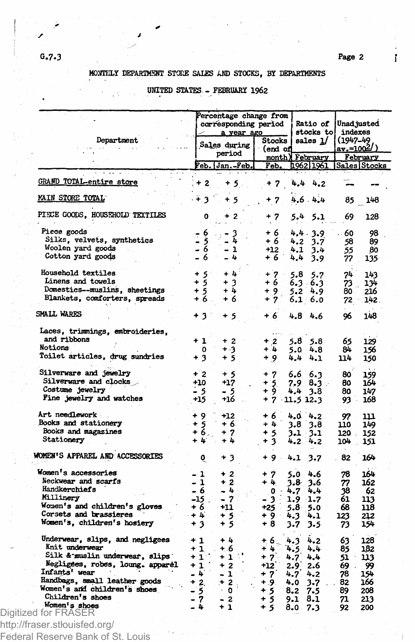ľ

## MONTHLY DEPARTMENT STORE SALES AND STOCKS, BY DEPARTMENTS

## UNITED STATES - FEBRUARY 1962

|                                                   |                 | Percentage change from<br>corresponding period<br>a year ago |                   | Ratio of<br>stocks to | indexes                 | Unad justed |                        |  |
|---------------------------------------------------|-----------------|--------------------------------------------------------------|-------------------|-----------------------|-------------------------|-------------|------------------------|--|
| Department                                        |                 | Sales during                                                 | Stocks            |                       | sales <u>1</u> /        | (1947-49    |                        |  |
|                                                   |                 | period                                                       | (end of<br>month) |                       |                         |             | av.≈1002/)<br>February |  |
|                                                   |                 | Feb. Jan.-Feb.                                               | Feb.              |                       | February<br>1962   1961 |             | Sales Stocks           |  |
| GRAND TOTAL-entire store                          | + 2             | +5.                                                          | $+7$              |                       | 4.44.2                  |             |                        |  |
| MAIN STORE TOTAL                                  | ∔ વ             | $+5$                                                         | + 7               |                       | 4.6 4.4                 | 85          | 148                    |  |
| PIECE GOODS, HOUSEHOLD TEXTILES                   | o               | $\mathbf{z}$                                                 | + 7               | 5.4                   | 5.1                     | 69          | 128                    |  |
| Piece goods                                       | $-6$            |                                                              | + 6               |                       | 4.4.3.9                 | 60          | 98                     |  |
| Silks, velvets, synthetics                        | ۇ -<br>6 -      | $\frac{3}{4}$                                                | + 6 1             | 4.2                   | 3.7                     | 58          | 89                     |  |
| Woolen yard goods                                 |                 | - 1                                                          | +12               | 4.1                   | 3.4                     | 55          | 80                     |  |
| Cotton yard goods                                 |                 | 4                                                            | + 6               | 4,4                   | 3.9                     | 77          | 135                    |  |
| Household textiles                                | $+5$            | $+4$                                                         | $+7 -$            | 5.8                   | 5.7                     | 74          | 143                    |  |
| Linens and towels                                 | $+5$            | $+3$                                                         | + 6               |                       | $6.3\;\;6.3$            | Ż3,         | 134                    |  |
| Domestics--muslins, sheetings                     | $+5$            | $+4$                                                         | $+9$              |                       | $5.2^{4.9}$             | 80.         | 216                    |  |
| Blankets, conforters, spreads                     | $+6$ .          | + 6                                                          | $+7$              |                       | $6.1 - 6.0$             | $72 -$      | 142.                   |  |
| SMALL WARES                                       |                 |                                                              |                   |                       |                         |             |                        |  |
|                                                   | + 3 1           | + 5                                                          | + 6               |                       | $4.8 + 6$               | 96          | 148                    |  |
| Laces, trimmings, embroideries,                   |                 |                                                              |                   |                       |                         |             |                        |  |
| and ribbons                                       | $+1$            | $+2$                                                         | $+2$              | 5.8                   | 5.8                     | 65          | 129                    |  |
| Notions                                           | 0               | + 3                                                          | + 4               |                       | $5.0 \t4.8$             | 84          | 156                    |  |
| Toilet articles, drug sundries                    | + 3             | + 5                                                          | + 9               | 4.4                   | 4.1                     | 114         | 150                    |  |
| Silverware and jewelry                            | $+2$            | $+5$                                                         | $+7$              |                       | 6.6 6.3                 | 80          | 159                    |  |
| Silverware and clocks                             | $+10$           | $+17$                                                        | + 5               |                       | $7.9\;\;8.3$            | 80          | 164                    |  |
| Costume jewelry                                   | - 5             | - 5                                                          | ÷ġ                |                       | 4.4 3.8                 | 80          | 147                    |  |
| Fine jewelry and watches                          | $+15$           | +16                                                          | $+7$ 11.5 12.3    |                       |                         | ∴ 93        | 168                    |  |
| Art needlework                                    | + 9             | $+12$                                                        | + 6               |                       | 4.0 4.2                 | 97          | 111                    |  |
| Books and stationery                              |                 | + 6.                                                         | $+4$              | 3.8                   | 3.8                     | 110         | 149                    |  |
| Books and magazines                               | $\frac{15}{16}$ | $+7$                                                         | $+5$              |                       |                         |             |                        |  |
| Stationery                                        | + 4             | + 4                                                          | $+3.$             | 4.2                   | $3.1 \t3.1$<br>4.2      | 120.<br>104 | 152<br>151             |  |
| WOMEN'S APPAREL AND ACCESSORIES                   |                 |                                                              |                   |                       |                         |             |                        |  |
|                                                   | $\mathbf{o}$    | + 3                                                          | $+9.$             | 4.1                   | 3.7                     | 82          | 164                    |  |
| Women's accessories                               | - 1             | $+2$                                                         | + 7               | 5.0                   | 4.6                     | 78          | 164                    |  |
| Neckwear and scarfs                               | - 1             | + 2                                                          | $+4.$             |                       | 3.8 3.6                 | 77          | 162                    |  |
| Handkerchiefs                                     | - 6             | - 4                                                          | $\mathbf{0}$ :    | 4.7                   | 4.4                     | 38          | 62                     |  |
| Millinery                                         | $-15$ .         | - 7                                                          | - 3               | $1.9 \t1.7$           |                         | 61.         | 113                    |  |
| Women's and children's gloves                     | + 6             | +11                                                          | $+25$             | $5.8 \t5.0$           |                         | 68          | 118                    |  |
| Corsets and brassieres                            | - + 4           | + 5                                                          | + 9               | 4.3                   | 4.1                     | 123         | 212                    |  |
| Women's, children's hosiery                       | + 3             | + 5                                                          | + 8               | 3.7                   | 3.5                     | 73          | 154                    |  |
| Underwear, slips, and negligees                   | $+1$            | $+4$                                                         | $+6.$             | 4.3                   | 4.2                     | 63          | 128                    |  |
| Knit underwear                                    | $+1$            | $+6$                                                         | $+4$              | 4.5                   | 4.4                     | 85          | 182                    |  |
| Silk & muslin underwear, slips                    | $+1$            | $\ddot{\phantom{1}}$                                         |                   |                       | 4.4                     |             |                        |  |
|                                                   |                 | +1:                                                          | $+7$              | 4.7 <sup>2</sup>      |                         | 51          | 113                    |  |
| Negligees, robes, loung. apparel<br>Infants' wear | $+1$            | $+2$                                                         | $+12$             | 2.9                   | 2.6                     | 69.         | 99                     |  |
|                                                   | - 4             | - 1                                                          | + 7               | 4.74.2                |                         | 78          | 154                    |  |
| Handbags, small leather goods                     | $+2.$           | $+2$<br>$\ddot{\phantom{a}}$                                 | + .9.             | 4.0                   | $3 - 7$                 | 82          | 166                    |  |
| Women's and children's shoes                      | $-5$            | $\cdot$ 0                                                    | + 5               | 8.2                   | 7.5                     | 89          | 208                    |  |
| Children's shoes                                  | - 7             | $-2$                                                         | $+5$              | 9.1                   | -8.1                    | 71          | 213                    |  |
| Women's shoes<br>Digitized for FRASER             | - 4             | $+1$                                                         | $+5$              | 8.0 7.3               |                         | 92          | 200                    |  |
|                                                   |                 |                                                              |                   |                       |                         |             |                        |  |

Federal Reserve Bank of St. Louis

уÝ,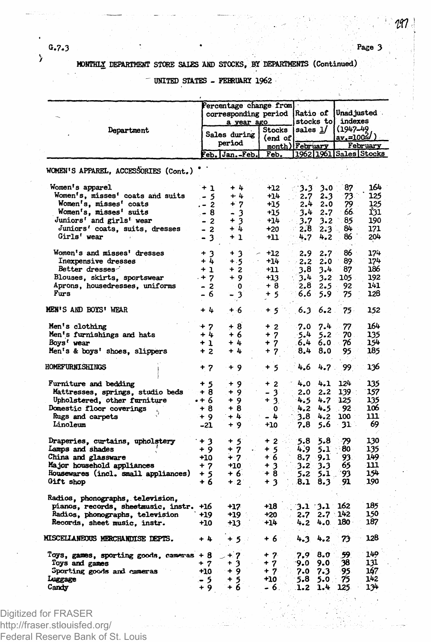#### **0.7.3 ' \* Page 3**

 $\lambda$ 

# **MDMTHIX DEPARTMENT STORE SAIES AND STOCKS, BY DEPARTMENTS (Continued)**

# **UNITED STATES - FEBRUARY 1962**

|                                                    |                                       | Percentage change from<br>corresponding period<br>a year ago |                   | Ratio of<br>stocks tol      |               | Unad justed<br>indexes<br>$(1947 - 49)$<br><u>av.=100‰/)</u><br>February |                        |
|----------------------------------------------------|---------------------------------------|--------------------------------------------------------------|-------------------|-----------------------------|---------------|--------------------------------------------------------------------------|------------------------|
| Department                                         |                                       | Sales during<br>period                                       | Stocks<br>(end of | sales 1/<br>month) February |               |                                                                          |                        |
|                                                    |                                       | eb. Jan.-Feb.                                                | Feb.              |                             |               |                                                                          | 1962 1961 Sales Stocks |
| WOMEN'S APPAREL, ACCESSORIES (Cont.)               |                                       |                                                              |                   |                             |               |                                                                          |                        |
| Women's apparel                                    | $+1$                                  | + 4                                                          | +12               | ා.3                         | 3.0           | 87                                                                       | 164                    |
| Women's, misses' coats and suits                   | . - 5                                 | + 4                                                          | $+14$             | 2.7                         | 2.3           | 73                                                                       | 125                    |
| Women's, misses' coats                             | . - 2                                 | $+7$                                                         | +15               | 2.4                         | 2.0           | 79<br>66.                                                                | 125<br>131             |
| Women's, misses' suits<br>Juniors' and girls' wear | . - 8<br>$-2$                         | - 3<br>$+3$                                                  | +15<br>$+14$      | 3.4<br>3.7                  | 2.7<br>3.2    | 85                                                                       | 190                    |
| Juniors' coats, suits, dresses                     | $-2$                                  | $+4$                                                         | $+20$             | 2.8.                        | $2.3^{\circ}$ | 84                                                                       | 171                    |
| Girls' wear                                        | $3 -$<br>$\qquad \qquad \blacksquare$ | $+1$                                                         | $+11$             | 4.7                         | 4.2           | 86                                                                       | 204                    |
|                                                    |                                       |                                                              |                   |                             |               |                                                                          |                        |
| Women's and misses' dresses                        | $+3$                                  | $+3$                                                         | $+12$             | 2.9                         | 2.7           | 86                                                                       | 174                    |
| Inexpensive dresses                                | $+4$                                  | $+ .5$                                                       | +14               | 2.2                         | 2.0           | 89.                                                                      | 174                    |
| Better dresses-                                    | $+1$                                  | $+2$                                                         | +11               | 3.8                         | 3.4           | 87                                                                       | 186                    |
| Blouses, skirts, sportswear                        | $. + 7$                               | + 9                                                          | +13<br>+ 8        | 3.4                         | 3.2           | 105<br>92                                                                | 192<br>141             |
| Aprons, housedresses, uniforms<br>Furs             | - 2<br>- 6                            | 0<br>- 3                                                     | + 5               | 2,8<br>$6.6^{\circ}$        | 2.5<br>5.9    | 75                                                                       | 128                    |
|                                                    |                                       |                                                              |                   |                             |               |                                                                          |                        |
| <b>MEN'S AND BOYS' WEAR</b>                        | + 4                                   | + 6                                                          | + 5               | 6.3                         | 6.2           | 75.                                                                      | 152                    |
| Men's clothing                                     | $+7$                                  | + 8                                                          | $+2$              | 7.0                         | 7.4           | 77                                                                       | 164                    |
| Men's furnishings and hats                         | + 4                                   | + 6                                                          | $+7$              | .5.4                        | 5.2           | 70                                                                       | 135                    |
| Boys' wear                                         | $+1$                                  | + 4                                                          | $+7$              | 6.4                         | 6.0           | 76                                                                       | 154                    |
| Men's & boys' shoes, slippers                      | $+2$                                  | + 4                                                          | 7<br>÷            | 8.4                         | 8.0           | 95                                                                       | 185                    |
| <b>HOMEFURNISHINGS</b>                             | + 7                                   | + 9                                                          | + 5               | 4.6                         | 4.7           | 99.                                                                      | 136                    |
| Furniture and bedding                              | + 5                                   | + 9                                                          | + 2               | 4.0                         | 4.1           | 124                                                                      | 135                    |
| Mattresses, springs, studio beds                   | + 8                                   | $+9$                                                         | - 3               | 2.0                         | 2.2           | 139                                                                      | 157                    |
| Upholstered, other furniture                       | •+ 6                                  | $+9$                                                         | $+3.$             | 4.5                         | 4.7           | 125                                                                      | 135                    |
| Domestic floor coverings                           | + 8                                   | + 8                                                          | $\mathbf{0}$      | 4.2                         | 4.5           | - 92                                                                     | 106                    |
| Rugs and carpets                                   | + 9                                   | $+4$                                                         | - 4               | 3.8                         | 4.2           | 100                                                                      | 111                    |
| Linoleum                                           | -21                                   | $+9$                                                         | +10               | 7.8                         | 5.6           | 31                                                                       | 69                     |
| Draperies, curtains, upholstery                    | $+3$                                  | + 5                                                          | $+2$              | $-5.8$                      | 5.8           | 79                                                                       | 130                    |
| Lamps and shades                                   | + 9                                   | $+7$                                                         | + 5               | 4.9                         | 5.1           | 80                                                                       | 135                    |
| China and glassware                                | +10                                   | + 7                                                          | + 6               | 8.7                         | 9,1           | 93                                                                       | 149                    |
| Major household appliances                         | + 7                                   | $+10$                                                        | $+3$              | $3.2 -$                     | 3.3           | 65                                                                       | 111                    |
| Housewares (incl. small appliances)                | + 5                                   | +6                                                           | + 8               | 5.2                         | 5.1           | 93                                                                       | 154                    |
| Gift shop                                          | + 6                                   | $+2$                                                         | + 3               | 8.1                         | 8.3           | 91                                                                       | 190                    |
| Radios, phonographs, television,                   |                                       |                                                              |                   |                             |               |                                                                          |                        |
| pianos, records, sheetmusic, instr.                | +16                                   | +17                                                          | +18               | $3.1 - 3.1$                 |               | 162                                                                      | 185                    |
| Radios, phonographs, television                    | +19                                   | +19.                                                         | $+20$             | 2.7                         | $2.7 -$       | 142                                                                      | 150                    |
| Records, sheet music, instr.                       | $+10$                                 | +13                                                          | $+14$             | 4.2                         | 4.0           | 080 -                                                                    | 187                    |
| MISCELLANEOUS MERCHANDISE DEPTS.                   | $+4$                                  | + 5                                                          | + 6               | 4.3                         | 4.2           | 73                                                                       | 128                    |
| Toys, games, sporting goods, cameras + 8           |                                       | $+7$                                                         | $+7.$             | 7.9                         | 8.0           | 59                                                                       | 149                    |
| Toys and games                                     | + 7                                   | + 3                                                          | + 7               | 9.0                         | 9.0           | 38                                                                       | 131                    |
| Sporting goods and cameras                         | +10                                   | $+9$                                                         | + 7               | 7.0                         | 7.3           | 95                                                                       | 167                    |
| Luggage                                            | - 5                                   | $+5$                                                         | $+10$             | 5.8                         | 5.0           | 75                                                                       | 142                    |
| Candy                                              | + 9                                   | + 6                                                          | - 6.              | 1.2                         | 1.4           | 125                                                                      | 134                    |

Digitized for FRASER http://fraser.stlouisfed.org/

Federal Reserve Bank of St. Louis